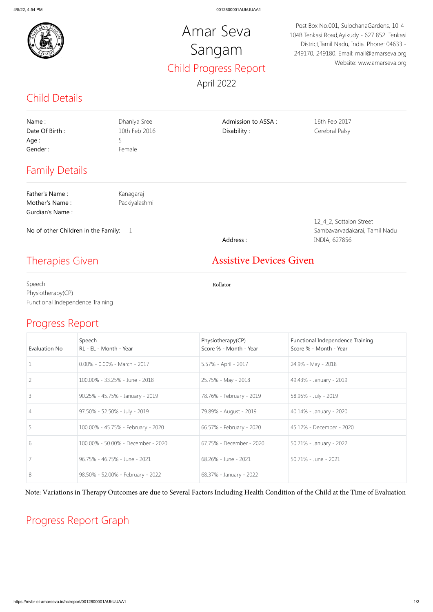

## Child Details

## Progress Report

## Progress Report Graph

## Amar Seva Sangam Child Progress Report April 2022

Post Box No.001, SulochanaGardens, 10-4- 104B Tenkasi Road,Ayikudy - 627 852. Tenkasi District,Tamil Nadu, India. Phone: 04633 - 249170, 249180. Email: mail@amarseva.org Website: www.amarseva.org

| Name:<br>Date Of Birth:<br>Age :<br>Gender:         | Dhaniya Sree<br>10th Feb 2016<br>5<br>Female | Admission to ASSA:<br>Disability: | 16th Feb 2017<br>Cerebral Palsy |
|-----------------------------------------------------|----------------------------------------------|-----------------------------------|---------------------------------|
| <b>Family Details</b>                               |                                              |                                   |                                 |
| Father's Name:                                      | Kanagaraj                                    |                                   |                                 |
| Mother's Name:                                      | Packiyalashmi                                |                                   |                                 |
| Gurdian's Name:                                     |                                              |                                   |                                 |
|                                                     |                                              |                                   | 12_4_2, Sottaion Street         |
| No of other Children in the Family:<br>$\mathbf{1}$ |                                              |                                   | Sambavarvadakarai, Tamil Nadu   |
|                                                     |                                              | Address:                          | INDIA, 627856                   |
| <b>Therapies Given</b>                              |                                              | <b>Assistive Devices Given</b>    |                                 |
| Speech                                              |                                              | Rollator                          |                                 |
| Physiotherapy(CP)                                   |                                              |                                   |                                 |
| Functional Independence Training                    |                                              |                                   |                                 |

| Evaluation No  | Speech<br>RL - EL - Month - Year   | Physiotherapy(CP)<br>Score % - Month - Year | Functional Independence Training<br>Score % - Month - Year |
|----------------|------------------------------------|---------------------------------------------|------------------------------------------------------------|
|                | $0.00\% - 0.00\% - March - 2017$   | 5.57% - April - 2017                        | 24.9% - May - 2018                                         |
| 2              | 100.00% - 33.25% - June - 2018     | 25.75% - May - 2018                         | 49.43% - January - 2019                                    |
| 3              | 90.25% - 45.75% - January - 2019   | 78.76% - February - 2019                    | 58.95% - July - 2019                                       |
| $\overline{4}$ | 97.50% - 52.50% - July - 2019      | 79.89% - August - 2019                      | 40.14% - January - 2020                                    |
| 5              | 100.00% - 45.75% - February - 2020 | 66.57% - February - 2020                    | 45.12% - December - 2020                                   |
| 6              | 100.00% - 50.00% - December - 2020 | 67.75% - December - 2020                    | 50.71% - January - 2022                                    |
|                | 96.75% - 46.75% - June - 2021      | 68.26% - June - 2021                        | 50.71% - June - 2021                                       |
| 8              | 98.50% - 52.00% - February - 2022  | 68.37% - January - 2022                     |                                                            |

Note: Variations in Therapy Outcomes are due to Several Factors Including Health Condition of the Child at the Time of Evaluation